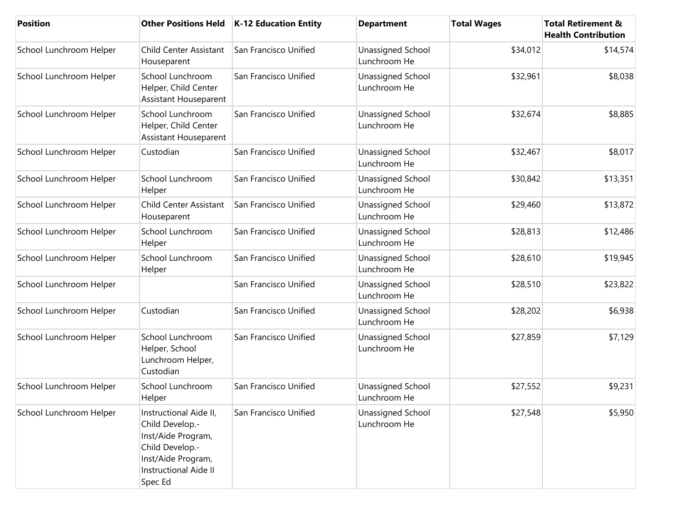| <b>Position</b>         | <b>Other Positions Held</b>                                                                                                                  | K-12 Education Entity | <b>Department</b>                 | <b>Total Wages</b> | <b>Total Retirement &amp;</b><br><b>Health Contribution</b> |
|-------------------------|----------------------------------------------------------------------------------------------------------------------------------------------|-----------------------|-----------------------------------|--------------------|-------------------------------------------------------------|
| School Lunchroom Helper | <b>Child Center Assistant</b><br>Houseparent                                                                                                 | San Francisco Unified | Unassigned School<br>Lunchroom He | \$34,012           | \$14,574                                                    |
| School Lunchroom Helper | School Lunchroom<br>Helper, Child Center<br>Assistant Houseparent                                                                            | San Francisco Unified | Unassigned School<br>Lunchroom He | \$32,961           | \$8,038                                                     |
| School Lunchroom Helper | School Lunchroom<br>Helper, Child Center<br><b>Assistant Houseparent</b>                                                                     | San Francisco Unified | Unassigned School<br>Lunchroom He | \$32,674           | \$8,885                                                     |
| School Lunchroom Helper | Custodian                                                                                                                                    | San Francisco Unified | Unassigned School<br>Lunchroom He | \$32,467           | \$8,017                                                     |
| School Lunchroom Helper | School Lunchroom<br>Helper                                                                                                                   | San Francisco Unified | Unassigned School<br>Lunchroom He | \$30,842           | \$13,351                                                    |
| School Lunchroom Helper | <b>Child Center Assistant</b><br>Houseparent                                                                                                 | San Francisco Unified | Unassigned School<br>Lunchroom He | \$29,460           | \$13,872                                                    |
| School Lunchroom Helper | School Lunchroom<br>Helper                                                                                                                   | San Francisco Unified | Unassigned School<br>Lunchroom He | \$28,813           | \$12,486                                                    |
| School Lunchroom Helper | School Lunchroom<br>Helper                                                                                                                   | San Francisco Unified | Unassigned School<br>Lunchroom He | \$28,610           | \$19,945                                                    |
| School Lunchroom Helper |                                                                                                                                              | San Francisco Unified | Unassigned School<br>Lunchroom He | \$28,510           | \$23,822                                                    |
| School Lunchroom Helper | Custodian                                                                                                                                    | San Francisco Unified | Unassigned School<br>Lunchroom He | \$28,202           | \$6,938                                                     |
| School Lunchroom Helper | School Lunchroom<br>Helper, School<br>Lunchroom Helper,<br>Custodian                                                                         | San Francisco Unified | Unassigned School<br>Lunchroom He | \$27,859           | \$7,129                                                     |
| School Lunchroom Helper | School Lunchroom<br>Helper                                                                                                                   | San Francisco Unified | Unassigned School<br>Lunchroom He | \$27,552           | \$9,231                                                     |
| School Lunchroom Helper | Instructional Aide II,<br>Child Develop.-<br>Inst/Aide Program,<br>Child Develop.-<br>Inst/Aide Program,<br>Instructional Aide II<br>Spec Ed | San Francisco Unified | Unassigned School<br>Lunchroom He | \$27,548           | \$5,950                                                     |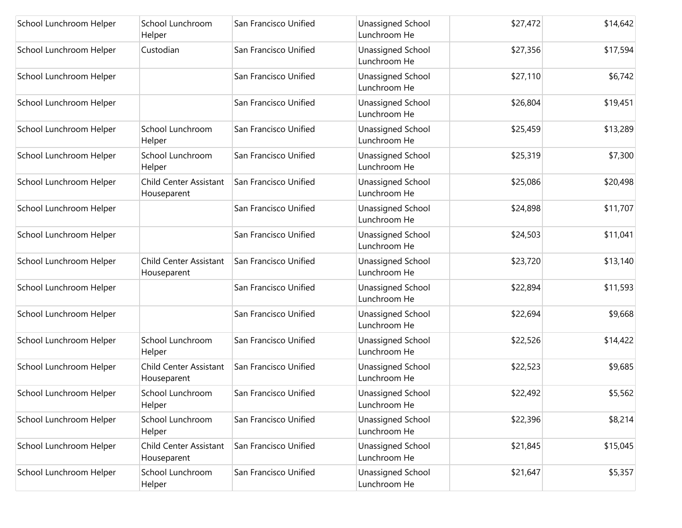| School Lunchroom Helper | School Lunchroom<br>Helper                   | San Francisco Unified | Unassigned School<br>Lunchroom He | \$27,472 | \$14,642 |
|-------------------------|----------------------------------------------|-----------------------|-----------------------------------|----------|----------|
| School Lunchroom Helper | Custodian                                    | San Francisco Unified | Unassigned School<br>Lunchroom He | \$27,356 | \$17,594 |
| School Lunchroom Helper |                                              | San Francisco Unified | Unassigned School<br>Lunchroom He | \$27,110 | \$6,742  |
| School Lunchroom Helper |                                              | San Francisco Unified | Unassigned School<br>Lunchroom He | \$26,804 | \$19,451 |
| School Lunchroom Helper | School Lunchroom<br>Helper                   | San Francisco Unified | Unassigned School<br>Lunchroom He | \$25,459 | \$13,289 |
| School Lunchroom Helper | School Lunchroom<br>Helper                   | San Francisco Unified | Unassigned School<br>Lunchroom He | \$25,319 | \$7,300  |
| School Lunchroom Helper | <b>Child Center Assistant</b><br>Houseparent | San Francisco Unified | Unassigned School<br>Lunchroom He | \$25,086 | \$20,498 |
| School Lunchroom Helper |                                              | San Francisco Unified | Unassigned School<br>Lunchroom He | \$24,898 | \$11,707 |
| School Lunchroom Helper |                                              | San Francisco Unified | Unassigned School<br>Lunchroom He | \$24,503 | \$11,041 |
| School Lunchroom Helper | <b>Child Center Assistant</b><br>Houseparent | San Francisco Unified | Unassigned School<br>Lunchroom He | \$23,720 | \$13,140 |
| School Lunchroom Helper |                                              | San Francisco Unified | Unassigned School<br>Lunchroom He | \$22,894 | \$11,593 |
| School Lunchroom Helper |                                              | San Francisco Unified | Unassigned School<br>Lunchroom He | \$22,694 | \$9,668  |
| School Lunchroom Helper | School Lunchroom<br>Helper                   | San Francisco Unified | Unassigned School<br>Lunchroom He | \$22,526 | \$14,422 |
| School Lunchroom Helper | Child Center Assistant<br>Houseparent        | San Francisco Unified | Unassigned School<br>Lunchroom He | \$22,523 | \$9,685  |
| School Lunchroom Helper | School Lunchroom<br>Helper                   | San Francisco Unified | Unassigned School<br>Lunchroom He | \$22,492 | \$5,562  |
| School Lunchroom Helper | School Lunchroom<br>Helper                   | San Francisco Unified | Unassigned School<br>Lunchroom He | \$22,396 | \$8,214  |
| School Lunchroom Helper | Child Center Assistant<br>Houseparent        | San Francisco Unified | Unassigned School<br>Lunchroom He | \$21,845 | \$15,045 |
| School Lunchroom Helper | School Lunchroom<br>Helper                   | San Francisco Unified | Unassigned School<br>Lunchroom He | \$21,647 | \$5,357  |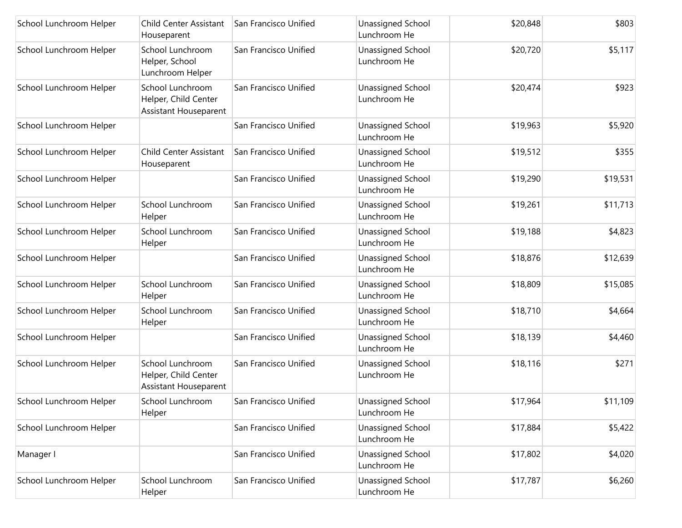| School Lunchroom Helper | Child Center Assistant<br>Houseparent                                    | San Francisco Unified | <b>Unassigned School</b><br>Lunchroom He | \$20,848 | \$803    |
|-------------------------|--------------------------------------------------------------------------|-----------------------|------------------------------------------|----------|----------|
| School Lunchroom Helper | School Lunchroom<br>Helper, School<br>Lunchroom Helper                   | San Francisco Unified | Unassigned School<br>Lunchroom He        | \$20,720 | \$5,117  |
| School Lunchroom Helper | School Lunchroom<br>Helper, Child Center<br><b>Assistant Houseparent</b> | San Francisco Unified | Unassigned School<br>Lunchroom He        | \$20,474 | \$923    |
| School Lunchroom Helper |                                                                          | San Francisco Unified | <b>Unassigned School</b><br>Lunchroom He | \$19,963 | \$5,920  |
| School Lunchroom Helper | <b>Child Center Assistant</b><br>Houseparent                             | San Francisco Unified | Unassigned School<br>Lunchroom He        | \$19,512 | \$355    |
| School Lunchroom Helper |                                                                          | San Francisco Unified | Unassigned School<br>Lunchroom He        | \$19,290 | \$19,531 |
| School Lunchroom Helper | School Lunchroom<br>Helper                                               | San Francisco Unified | Unassigned School<br>Lunchroom He        | \$19,261 | \$11,713 |
| School Lunchroom Helper | School Lunchroom<br>Helper                                               | San Francisco Unified | Unassigned School<br>Lunchroom He        | \$19,188 | \$4,823  |
| School Lunchroom Helper |                                                                          | San Francisco Unified | Unassigned School<br>Lunchroom He        | \$18,876 | \$12,639 |
| School Lunchroom Helper | School Lunchroom<br>Helper                                               | San Francisco Unified | Unassigned School<br>Lunchroom He        | \$18,809 | \$15,085 |
| School Lunchroom Helper | School Lunchroom<br>Helper                                               | San Francisco Unified | Unassigned School<br>Lunchroom He        | \$18,710 | \$4,664  |
| School Lunchroom Helper |                                                                          | San Francisco Unified | Unassigned School<br>Lunchroom He        | \$18,139 | \$4,460  |
| School Lunchroom Helper | School Lunchroom<br>Helper, Child Center<br>Assistant Houseparent        | San Francisco Unified | Unassigned School<br>Lunchroom He        | \$18,116 | \$271    |
| School Lunchroom Helper | School Lunchroom<br>Helper                                               | San Francisco Unified | Unassigned School<br>Lunchroom He        | \$17,964 | \$11,109 |
| School Lunchroom Helper |                                                                          | San Francisco Unified | Unassigned School<br>Lunchroom He        | \$17,884 | \$5,422  |
| Manager I               |                                                                          | San Francisco Unified | Unassigned School<br>Lunchroom He        | \$17,802 | \$4,020  |
| School Lunchroom Helper | School Lunchroom<br>Helper                                               | San Francisco Unified | Unassigned School<br>Lunchroom He        | \$17,787 | \$6,260  |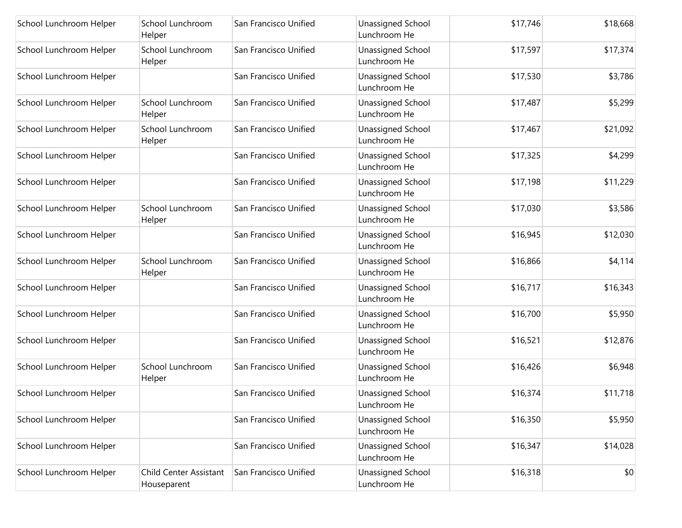| School Lunchroom Helper | School Lunchroom<br>Helper            | San Francisco Unified | Unassigned School<br>Lunchroom He        | \$17,746 | \$18,668 |
|-------------------------|---------------------------------------|-----------------------|------------------------------------------|----------|----------|
| School Lunchroom Helper | School Lunchroom<br>Helper            | San Francisco Unified | Unassigned School<br>Lunchroom He        | \$17,597 | \$17,374 |
| School Lunchroom Helper |                                       | San Francisco Unified | <b>Unassigned School</b><br>Lunchroom He | \$17,530 | \$3,786  |
| School Lunchroom Helper | School Lunchroom<br>Helper            | San Francisco Unified | Unassigned School<br>Lunchroom He        | \$17,487 | \$5,299  |
| School Lunchroom Helper | School Lunchroom<br>Helper            | San Francisco Unified | <b>Unassigned School</b><br>Lunchroom He | \$17,467 | \$21,092 |
| School Lunchroom Helper |                                       | San Francisco Unified | Unassigned School<br>Lunchroom He        | \$17,325 | \$4,299  |
| School Lunchroom Helper |                                       | San Francisco Unified | Unassigned School<br>Lunchroom He        | \$17,198 | \$11,229 |
| School Lunchroom Helper | School Lunchroom<br>Helper            | San Francisco Unified | Unassigned School<br>Lunchroom He        | \$17,030 | \$3,586  |
| School Lunchroom Helper |                                       | San Francisco Unified | Unassigned School<br>Lunchroom He        | \$16,945 | \$12,030 |
| School Lunchroom Helper | School Lunchroom<br>Helper            | San Francisco Unified | <b>Unassigned School</b><br>Lunchroom He | \$16,866 | \$4,114  |
| School Lunchroom Helper |                                       | San Francisco Unified | Unassigned School<br>Lunchroom He        | \$16,717 | \$16,343 |
| School Lunchroom Helper |                                       | San Francisco Unified | <b>Unassigned School</b><br>Lunchroom He | \$16,700 | \$5,950  |
| School Lunchroom Helper |                                       | San Francisco Unified | Unassigned School<br>Lunchroom He        | \$16,521 | \$12,876 |
| School Lunchroom Helper | School Lunchroom<br>Helper            | San Francisco Unified | <b>Unassigned School</b><br>Lunchroom He | \$16,426 | \$6,948  |
| School Lunchroom Helper |                                       | San Francisco Unified | Unassigned School<br>Lunchroom He        | \$16,374 | \$11,718 |
| School Lunchroom Helper |                                       | San Francisco Unified | <b>Unassigned School</b><br>Lunchroom He | \$16,350 | \$5,950  |
| School Lunchroom Helper |                                       | San Francisco Unified | <b>Unassigned School</b><br>Lunchroom He | \$16,347 | \$14,028 |
| School Lunchroom Helper | Child Center Assistant<br>Houseparent | San Francisco Unified | Unassigned School<br>Lunchroom He        | \$16,318 | \$0      |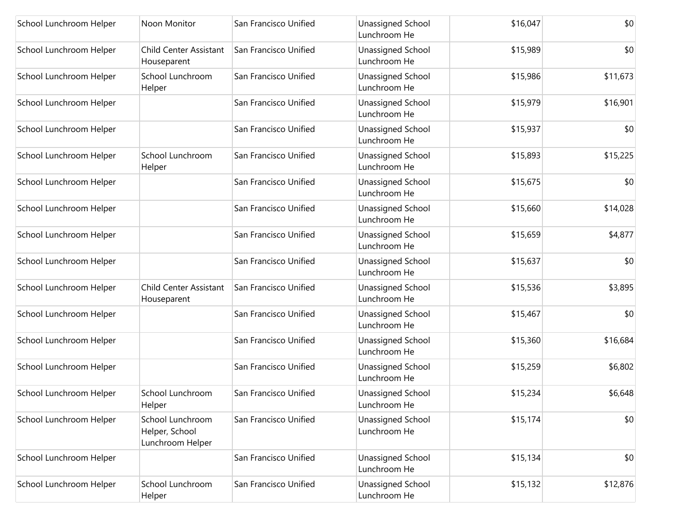| School Lunchroom Helper | Noon Monitor                                           | San Francisco Unified | Unassigned School<br>Lunchroom He        | \$16,047 | \$0      |
|-------------------------|--------------------------------------------------------|-----------------------|------------------------------------------|----------|----------|
| School Lunchroom Helper | <b>Child Center Assistant</b><br>Houseparent           | San Francisco Unified | Unassigned School<br>Lunchroom He        | \$15,989 | \$0      |
| School Lunchroom Helper | School Lunchroom<br>Helper                             | San Francisco Unified | Unassigned School<br>Lunchroom He        | \$15,986 | \$11,673 |
| School Lunchroom Helper |                                                        | San Francisco Unified | <b>Unassigned School</b><br>Lunchroom He | \$15,979 | \$16,901 |
| School Lunchroom Helper |                                                        | San Francisco Unified | Unassigned School<br>Lunchroom He        | \$15,937 | \$0      |
| School Lunchroom Helper | School Lunchroom<br>Helper                             | San Francisco Unified | Unassigned School<br>Lunchroom He        | \$15,893 | \$15,225 |
| School Lunchroom Helper |                                                        | San Francisco Unified | Unassigned School<br>Lunchroom He        | \$15,675 | \$0      |
| School Lunchroom Helper |                                                        | San Francisco Unified | Unassigned School<br>Lunchroom He        | \$15,660 | \$14,028 |
| School Lunchroom Helper |                                                        | San Francisco Unified | Unassigned School<br>Lunchroom He        | \$15,659 | \$4,877  |
| School Lunchroom Helper |                                                        | San Francisco Unified | Unassigned School<br>Lunchroom He        | \$15,637 | \$0      |
| School Lunchroom Helper | Child Center Assistant<br>Houseparent                  | San Francisco Unified | Unassigned School<br>Lunchroom He        | \$15,536 | \$3,895  |
| School Lunchroom Helper |                                                        | San Francisco Unified | Unassigned School<br>Lunchroom He        | \$15,467 | \$0      |
| School Lunchroom Helper |                                                        | San Francisco Unified | Unassigned School<br>Lunchroom He        | \$15,360 | \$16,684 |
| School Lunchroom Helper |                                                        | San Francisco Unified | Unassigned School<br>Lunchroom He        | \$15,259 | \$6,802  |
| School Lunchroom Helper | School Lunchroom<br>Helper                             | San Francisco Unified | Unassigned School<br>Lunchroom He        | \$15,234 | \$6,648  |
| School Lunchroom Helper | School Lunchroom<br>Helper, School<br>Lunchroom Helper | San Francisco Unified | Unassigned School<br>Lunchroom He        | \$15,174 | \$0      |
| School Lunchroom Helper |                                                        | San Francisco Unified | Unassigned School<br>Lunchroom He        | \$15,134 | \$0      |
| School Lunchroom Helper | School Lunchroom<br>Helper                             | San Francisco Unified | Unassigned School<br>Lunchroom He        | \$15,132 | \$12,876 |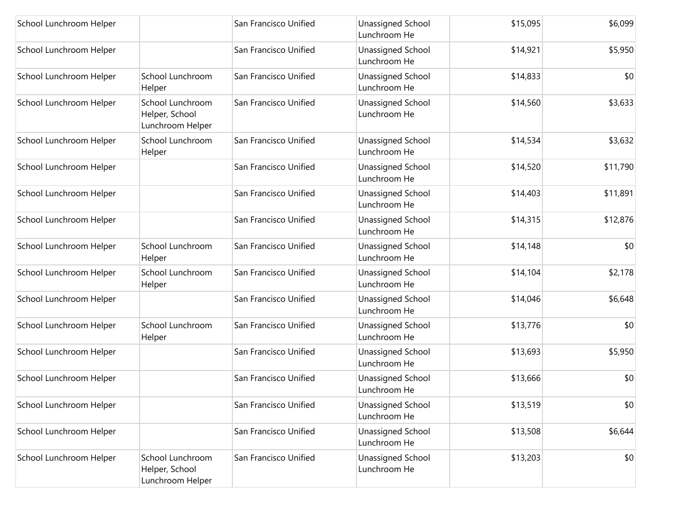| School Lunchroom Helper |                                                        | San Francisco Unified | <b>Unassigned School</b><br>Lunchroom He | \$15,095 | \$6,099  |
|-------------------------|--------------------------------------------------------|-----------------------|------------------------------------------|----------|----------|
| School Lunchroom Helper |                                                        | San Francisco Unified | Unassigned School<br>Lunchroom He        | \$14,921 | \$5,950  |
| School Lunchroom Helper | School Lunchroom<br>Helper                             | San Francisco Unified | Unassigned School<br>Lunchroom He        | \$14,833 | \$0      |
| School Lunchroom Helper | School Lunchroom<br>Helper, School<br>Lunchroom Helper | San Francisco Unified | Unassigned School<br>Lunchroom He        | \$14,560 | \$3,633  |
| School Lunchroom Helper | School Lunchroom<br>Helper                             | San Francisco Unified | Unassigned School<br>Lunchroom He        | \$14,534 | \$3,632  |
| School Lunchroom Helper |                                                        | San Francisco Unified | Unassigned School<br>Lunchroom He        | \$14,520 | \$11,790 |
| School Lunchroom Helper |                                                        | San Francisco Unified | Unassigned School<br>Lunchroom He        | \$14,403 | \$11,891 |
| School Lunchroom Helper |                                                        | San Francisco Unified | Unassigned School<br>Lunchroom He        | \$14,315 | \$12,876 |
| School Lunchroom Helper | School Lunchroom<br>Helper                             | San Francisco Unified | Unassigned School<br>Lunchroom He        | \$14,148 | \$0      |
| School Lunchroom Helper | School Lunchroom<br>Helper                             | San Francisco Unified | Unassigned School<br>Lunchroom He        | \$14,104 | \$2,178  |
| School Lunchroom Helper |                                                        | San Francisco Unified | Unassigned School<br>Lunchroom He        | \$14,046 | \$6,648  |
| School Lunchroom Helper | School Lunchroom<br>Helper                             | San Francisco Unified | Unassigned School<br>Lunchroom He        | \$13,776 | \$0      |
| School Lunchroom Helper |                                                        | San Francisco Unified | Unassigned School<br>Lunchroom He        | \$13,693 | \$5,950  |
| School Lunchroom Helper |                                                        | San Francisco Unified | Unassigned School<br>Lunchroom He        | \$13,666 | \$0      |
| School Lunchroom Helper |                                                        | San Francisco Unified | Unassigned School<br>Lunchroom He        | \$13,519 | \$0      |
| School Lunchroom Helper |                                                        | San Francisco Unified | Unassigned School<br>Lunchroom He        | \$13,508 | \$6,644  |
| School Lunchroom Helper | School Lunchroom<br>Helper, School<br>Lunchroom Helper | San Francisco Unified | Unassigned School<br>Lunchroom He        | \$13,203 | \$0      |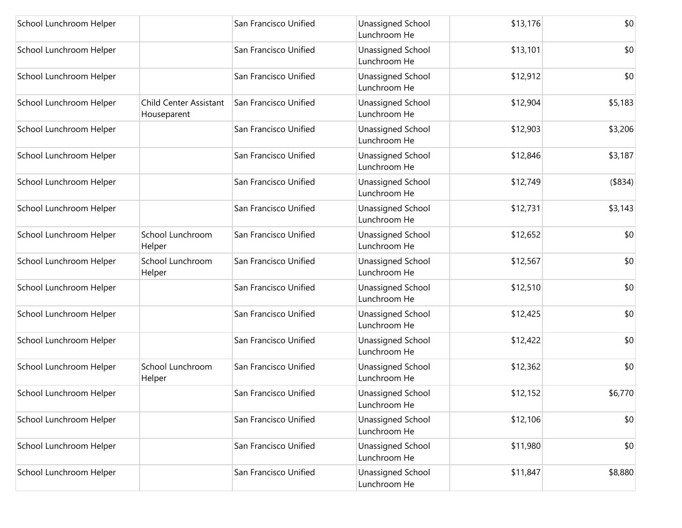| School Lunchroom Helper |                                              | San Francisco Unified | <b>Unassigned School</b><br>Lunchroom He | \$13,176 | \$0      |
|-------------------------|----------------------------------------------|-----------------------|------------------------------------------|----------|----------|
| School Lunchroom Helper |                                              | San Francisco Unified | Unassigned School<br>Lunchroom He        | \$13,101 | \$0      |
| School Lunchroom Helper |                                              | San Francisco Unified | Unassigned School<br>Lunchroom He        | \$12,912 | \$0      |
| School Lunchroom Helper | <b>Child Center Assistant</b><br>Houseparent | San Francisco Unified | Unassigned School<br>Lunchroom He        | \$12,904 | \$5,183  |
| School Lunchroom Helper |                                              | San Francisco Unified | Unassigned School<br>Lunchroom He        | \$12,903 | \$3,206  |
| School Lunchroom Helper |                                              | San Francisco Unified | Unassigned School<br>Lunchroom He        | \$12,846 | \$3,187  |
| School Lunchroom Helper |                                              | San Francisco Unified | Unassigned School<br>Lunchroom He        | \$12,749 | ( \$834) |
| School Lunchroom Helper |                                              | San Francisco Unified | Unassigned School<br>Lunchroom He        | \$12,731 | \$3,143  |
| School Lunchroom Helper | School Lunchroom<br>Helper                   | San Francisco Unified | Unassigned School<br>Lunchroom He        | \$12,652 | \$0      |
| School Lunchroom Helper | School Lunchroom<br>Helper                   | San Francisco Unified | Unassigned School<br>Lunchroom He        | \$12,567 | \$0      |
| School Lunchroom Helper |                                              | San Francisco Unified | Unassigned School<br>Lunchroom He        | \$12,510 | \$0      |
| School Lunchroom Helper |                                              | San Francisco Unified | Unassigned School<br>Lunchroom He        | \$12,425 | \$0      |
| School Lunchroom Helper |                                              | San Francisco Unified | Unassigned School<br>Lunchroom He        | \$12,422 | \$0      |
| School Lunchroom Helper | School Lunchroom<br>Helper                   | San Francisco Unified | Unassigned School<br>Lunchroom He        | \$12,362 | \$0      |
| School Lunchroom Helper |                                              | San Francisco Unified | Unassigned School<br>Lunchroom He        | \$12,152 | \$6,770  |
| School Lunchroom Helper |                                              | San Francisco Unified | Unassigned School<br>Lunchroom He        | \$12,106 | \$0      |
| School Lunchroom Helper |                                              | San Francisco Unified | Unassigned School<br>Lunchroom He        | \$11,980 | \$0      |
| School Lunchroom Helper |                                              | San Francisco Unified | Unassigned School<br>Lunchroom He        | \$11,847 | \$8,880  |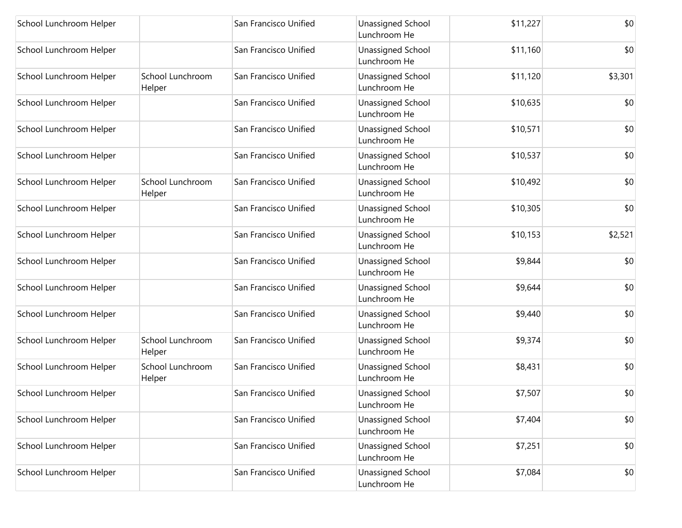| School Lunchroom Helper |                            | San Francisco Unified | Unassigned School<br>Lunchroom He        | \$11,227 | \$0     |
|-------------------------|----------------------------|-----------------------|------------------------------------------|----------|---------|
| School Lunchroom Helper |                            | San Francisco Unified | Unassigned School<br>Lunchroom He        | \$11,160 | \$0     |
| School Lunchroom Helper | School Lunchroom<br>Helper | San Francisco Unified | <b>Unassigned School</b><br>Lunchroom He | \$11,120 | \$3,301 |
| School Lunchroom Helper |                            | San Francisco Unified | Unassigned School<br>Lunchroom He        | \$10,635 | \$0     |
| School Lunchroom Helper |                            | San Francisco Unified | <b>Unassigned School</b><br>Lunchroom He | \$10,571 | \$0     |
| School Lunchroom Helper |                            | San Francisco Unified | Unassigned School<br>Lunchroom He        | \$10,537 | \$0     |
| School Lunchroom Helper | School Lunchroom<br>Helper | San Francisco Unified | Unassigned School<br>Lunchroom He        | \$10,492 | \$0     |
| School Lunchroom Helper |                            | San Francisco Unified | Unassigned School<br>Lunchroom He        | \$10,305 | \$0     |
| School Lunchroom Helper |                            | San Francisco Unified | <b>Unassigned School</b><br>Lunchroom He | \$10,153 | \$2,521 |
| School Lunchroom Helper |                            | San Francisco Unified | <b>Unassigned School</b><br>Lunchroom He | \$9,844  | \$0     |
| School Lunchroom Helper |                            | San Francisco Unified | Unassigned School<br>Lunchroom He        | \$9,644  | \$0     |
| School Lunchroom Helper |                            | San Francisco Unified | Unassigned School<br>Lunchroom He        | \$9,440  | \$0     |
| School Lunchroom Helper | School Lunchroom<br>Helper | San Francisco Unified | Unassigned School<br>Lunchroom He        | \$9,374  | \$0     |
| School Lunchroom Helper | School Lunchroom<br>Helper | San Francisco Unified | Unassigned School<br>Lunchroom He        | \$8,431  | \$0     |
| School Lunchroom Helper |                            | San Francisco Unified | Unassigned School<br>Lunchroom He        | \$7,507  | \$0     |
| School Lunchroom Helper |                            | San Francisco Unified | Unassigned School<br>Lunchroom He        | \$7,404  | \$0     |
| School Lunchroom Helper |                            | San Francisco Unified | Unassigned School<br>Lunchroom He        | \$7,251  | \$0     |
| School Lunchroom Helper |                            | San Francisco Unified | Unassigned School<br>Lunchroom He        | \$7,084  | \$0     |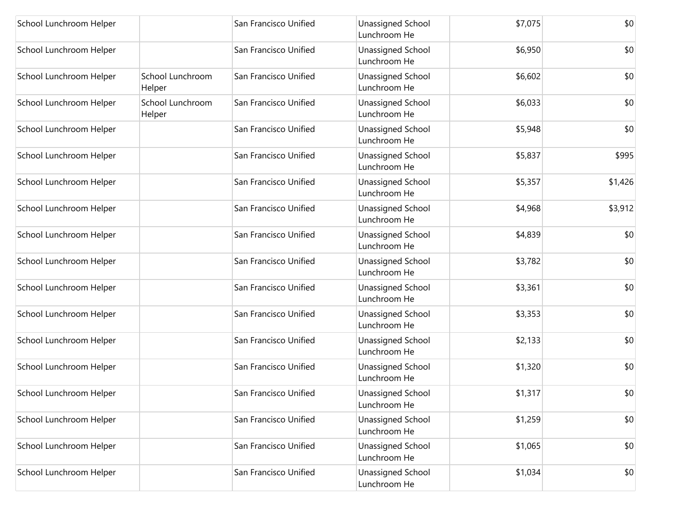| School Lunchroom Helper |                            | San Francisco Unified | Unassigned School<br>Lunchroom He        | \$7,075 | \$0     |
|-------------------------|----------------------------|-----------------------|------------------------------------------|---------|---------|
| School Lunchroom Helper |                            | San Francisco Unified | Unassigned School<br>Lunchroom He        | \$6,950 | \$0     |
| School Lunchroom Helper | School Lunchroom<br>Helper | San Francisco Unified | Unassigned School<br>Lunchroom He        | \$6,602 | \$0     |
| School Lunchroom Helper | School Lunchroom<br>Helper | San Francisco Unified | Unassigned School<br>Lunchroom He        | \$6,033 | \$0     |
| School Lunchroom Helper |                            | San Francisco Unified | <b>Unassigned School</b><br>Lunchroom He | \$5,948 | \$0     |
| School Lunchroom Helper |                            | San Francisco Unified | Unassigned School<br>Lunchroom He        | \$5,837 | \$995   |
| School Lunchroom Helper |                            | San Francisco Unified | Unassigned School<br>Lunchroom He        | \$5,357 | \$1,426 |
| School Lunchroom Helper |                            | San Francisco Unified | Unassigned School<br>Lunchroom He        | \$4,968 | \$3,912 |
| School Lunchroom Helper |                            | San Francisco Unified | Unassigned School<br>Lunchroom He        | \$4,839 | \$0     |
| School Lunchroom Helper |                            | San Francisco Unified | <b>Unassigned School</b><br>Lunchroom He | \$3,782 | \$0     |
| School Lunchroom Helper |                            | San Francisco Unified | Unassigned School<br>Lunchroom He        | \$3,361 | \$0     |
| School Lunchroom Helper |                            | San Francisco Unified | <b>Unassigned School</b><br>Lunchroom He | \$3,353 | \$0     |
| School Lunchroom Helper |                            | San Francisco Unified | Unassigned School<br>Lunchroom He        | \$2,133 | \$0     |
| School Lunchroom Helper |                            | San Francisco Unified | Unassigned School<br>Lunchroom He        | \$1,320 | \$0     |
| School Lunchroom Helper |                            | San Francisco Unified | Unassigned School<br>Lunchroom He        | \$1,317 | \$0     |
| School Lunchroom Helper |                            | San Francisco Unified | Unassigned School<br>Lunchroom He        | \$1,259 | \$0     |
| School Lunchroom Helper |                            | San Francisco Unified | Unassigned School<br>Lunchroom He        | \$1,065 | \$0     |
| School Lunchroom Helper |                            | San Francisco Unified | Unassigned School<br>Lunchroom He        | \$1,034 | \$0     |